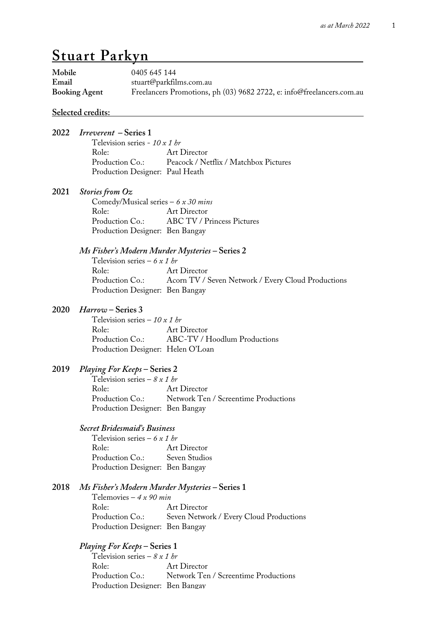# **Stuart Parkyn .**

| Mobile<br>Email | <b>Booking Agent</b>                                                                                                                      | 0405 645 144<br>stuart@parkfilms.com.au<br>Freelancers Promotions, ph (03) 9682 2722, e: info@freelancers.com.au     |  |
|-----------------|-------------------------------------------------------------------------------------------------------------------------------------------|----------------------------------------------------------------------------------------------------------------------|--|
|                 | <u>Selected credits:</u>                                                                                                                  |                                                                                                                      |  |
| 2022            | <i>Irreverent</i> – Series 1<br>Television series - $10x1$ br<br>Role:                                                                    | Art Director<br>Production Co.: Peacock / Netflix / Matchbox Pictures                                                |  |
|                 | Production Designer: Paul Heath                                                                                                           |                                                                                                                      |  |
| 2021            | <b>Stories from Oz</b><br>Role:<br>Production Co.:<br>Production Designer: Ben Bangay                                                     | Comedy/Musical series $-6 x 30 mins$<br>Art Director<br><b>ABC TV / Princess Pictures</b>                            |  |
|                 | Television series – 6 x 1 hr<br>Role:<br>Production Co.:<br>Production Designer: Ben Bangay                                               | Ms Fisher's Modern Murder Mysteries – Series 2<br>Art Director<br>Acorn TV / Seven Network / Every Cloud Productions |  |
| 2020            | <i>Harrow</i> – Series 3<br>Television series – 10 x 1 br<br>Role:<br>Production Co.:                                                     | Art Director<br>ABC-TV / Hoodlum Productions<br>Production Designer: Helen O'Loan                                    |  |
| 2019            | <i>Playing For Keeps</i> – Series 2<br>Television series – $8 \times 1$ br<br>Role:<br>Production Co.:<br>Production Designer: Ben Bangay | Art Director<br>Network Ten / Screentime Productions                                                                 |  |
|                 | <b>Secret Bridesmaid's Business</b><br>Television series – 6 x 1 hr<br>Role:<br>Production Co.:<br>Production Designer: Ben Bangay        | <b>Art Director</b><br>Seven Studios                                                                                 |  |
| 2018            | Telemovies – $4 x 90 min$<br>Role:<br>Production Co.:<br>Production Designer: Ben Bangay                                                  | Ms Fisher's Modern Murder Mysteries – Series 1<br>Art Director<br>Seven Network / Every Cloud Productions            |  |
|                 | <i>Playing For Keeps</i> – Series 1<br>Television series – $8x1$ br<br>Role:<br>Production Co.:                                           | <b>Art Director</b><br>Network Ten / Screentime Productions                                                          |  |

Production Designer: Ben Bangay